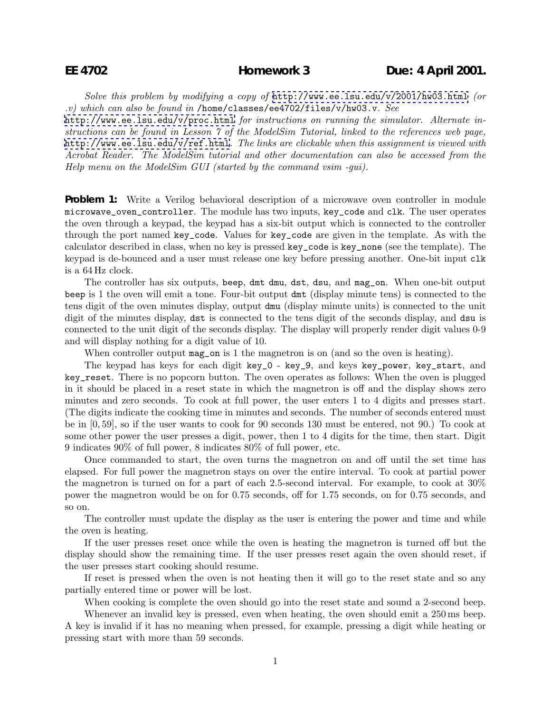*Solve this problem by modifying a copy of* <http://www.ee.lsu.edu/v/2001/hw03.html> *(or .v) which can also be found in* /home/classes/ee4702/files/v/hw03.v*. See*

<http://www.ee.lsu.edu/v/proc.html> *for instructions on running the simulator. Alternate instructions can be found in Lesson 7 of the ModelSim Tutorial, linked to the references web page,* <http://www.ee.lsu.edu/v/ref.html>*. The links are clickable when this assignment is viewed with Acrobat Reader. The ModelSim tutorial and other documentation can also be accessed from the Help menu on the ModelSim GUI (started by the command vsim -gui).*

**Problem 1:** Write a Verilog behavioral description of a microwave oven controller in module microwave\_oven\_controller. The module has two inputs, key\_code and clk. The user operates the oven through a keypad, the keypad has a six-bit output which is connected to the controller through the port named key\_code. Values for key\_code are given in the template. As with the calculator described in class, when no key is pressed key\_code is key\_none (see the template). The keypad is de-bounced and a user must release one key before pressing another. One-bit input clk is a 64 Hz clock.

The controller has six outputs, beep, dmt dmu, dst, dsu, and mag\_on. When one-bit output beep is 1 the oven will emit a tone. Four-bit output dmt (display minute tens) is connected to the tens digit of the oven minutes display, output dmu (display minute units) is connected to the unit digit of the minutes display, dst is connected to the tens digit of the seconds display, and dsu is connected to the unit digit of the seconds display. The display will properly render digit values 0-9 and will display nothing for a digit value of 10.

When controller output mag\_on is 1 the magnetron is on (and so the oven is heating).

The keypad has keys for each digit key\_0 - key\_9, and keys key\_power, key\_start, and key\_reset. There is no popcorn button. The oven operates as follows: When the oven is plugged in it should be placed in a reset state in which the magnetron is off and the display shows zero minutes and zero seconds. To cook at full power, the user enters 1 to 4 digits and presses start. (The digits indicate the cooking time in minutes and seconds. The number of seconds entered must be in [0, 59], so if the user wants to cook for 90 seconds 130 must be entered, not 90.) To cook at some other power the user presses a digit, power, then 1 to 4 digits for the time, then start. Digit 9 indicates 90% of full power, 8 indicates 80% of full power, etc.

Once commanded to start, the oven turns the magnetron on and off until the set time has elapsed. For full power the magnetron stays on over the entire interval. To cook at partial power the magnetron is turned on for a part of each 2.5-second interval. For example, to cook at 30% power the magnetron would be on for 0.75 seconds, off for 1.75 seconds, on for 0.75 seconds, and so on.

The controller must update the display as the user is entering the power and time and while the oven is heating.

If the user presses reset once while the oven is heating the magnetron is turned off but the display should show the remaining time. If the user presses reset again the oven should reset, if the user presses start cooking should resume.

If reset is pressed when the oven is not heating then it will go to the reset state and so any partially entered time or power will be lost.

When cooking is complete the oven should go into the reset state and sound a 2-second beep.

Whenever an invalid key is pressed, even when heating, the oven should emit a 250 ms beep. A key is invalid if it has no meaning when pressed, for example, pressing a digit while heating or pressing start with more than 59 seconds.